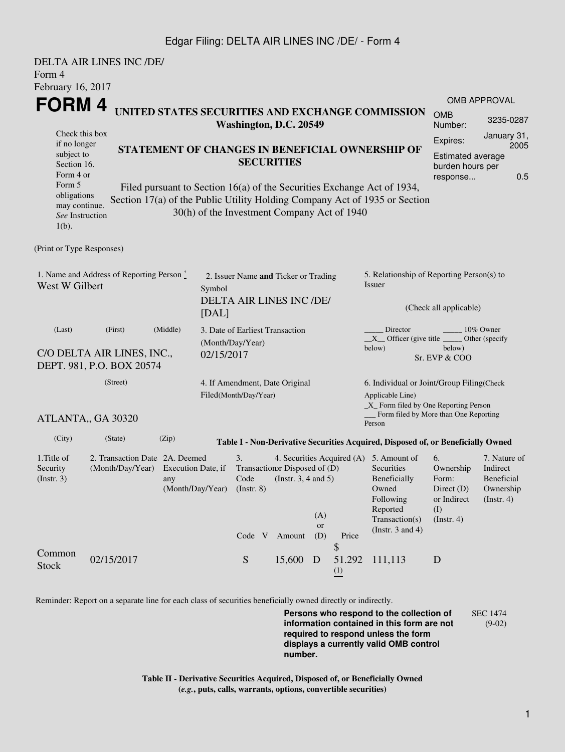## Edgar Filing: DELTA AIR LINES INC /DE/ - Form 4

| Form 4<br>February 16, 2017                                                                                                                                       | <b>DELTA AIR LINES INC /DE/</b>                                       |          |                                                         |                                                                                                                                                                                                                                                                                                                                                            |                                                                        |                                                                                                         |                                 |                                                                                                                                                    |                                                                                                                                                          |                                                                   |  |
|-------------------------------------------------------------------------------------------------------------------------------------------------------------------|-----------------------------------------------------------------------|----------|---------------------------------------------------------|------------------------------------------------------------------------------------------------------------------------------------------------------------------------------------------------------------------------------------------------------------------------------------------------------------------------------------------------------------|------------------------------------------------------------------------|---------------------------------------------------------------------------------------------------------|---------------------------------|----------------------------------------------------------------------------------------------------------------------------------------------------|----------------------------------------------------------------------------------------------------------------------------------------------------------|-------------------------------------------------------------------|--|
| <b>FORM4</b><br>Check this box<br>if no longer<br>subject to<br>Section 16.<br>Form 4 or<br>Form 5<br>obligations<br>may continue.<br>See Instruction<br>$1(b)$ . |                                                                       |          |                                                         | UNITED STATES SECURITIES AND EXCHANGE COMMISSION<br>Washington, D.C. 20549<br>STATEMENT OF CHANGES IN BENEFICIAL OWNERSHIP OF<br><b>SECURITIES</b><br>Filed pursuant to Section 16(a) of the Securities Exchange Act of 1934,<br>Section 17(a) of the Public Utility Holding Company Act of 1935 or Section<br>30(h) of the Investment Company Act of 1940 |                                                                        |                                                                                                         |                                 |                                                                                                                                                    | <b>OMB APPROVAL</b><br><b>OMB</b><br>3235-0287<br>Number:<br>January 31,<br>Expires:<br>2005<br>Estimated average<br>burden hours per<br>0.5<br>response |                                                                   |  |
| (Print or Type Responses)                                                                                                                                         |                                                                       |          |                                                         |                                                                                                                                                                                                                                                                                                                                                            |                                                                        |                                                                                                         |                                 |                                                                                                                                                    |                                                                                                                                                          |                                                                   |  |
| 1. Name and Address of Reporting Person *<br>West W Gilbert<br>Symbol<br>[DAL]                                                                                    |                                                                       |          |                                                         | 2. Issuer Name and Ticker or Trading<br>DELTA AIR LINES INC /DE/                                                                                                                                                                                                                                                                                           |                                                                        |                                                                                                         |                                 | 5. Relationship of Reporting Person(s) to<br>Issuer<br>(Check all applicable)                                                                      |                                                                                                                                                          |                                                                   |  |
| (Last)                                                                                                                                                            | (First)<br>C/O DELTA AIR LINES, INC.,<br>DEPT. 981, P.O. BOX 20574    | (Middle) | 02/15/2017                                              | 3. Date of Earliest Transaction<br>(Month/Day/Year)                                                                                                                                                                                                                                                                                                        |                                                                        |                                                                                                         |                                 | Director<br>$X$ Officer (give title $\frac{X}{X}$<br>below)                                                                                        | below)<br>Sr. EVP & COO                                                                                                                                  | 10% Owner<br>Other (specify                                       |  |
| (Street)                                                                                                                                                          |                                                                       |          | 4. If Amendment, Date Original<br>Filed(Month/Day/Year) |                                                                                                                                                                                                                                                                                                                                                            |                                                                        | 6. Individual or Joint/Group Filing(Check<br>Applicable Line)<br>_X_ Form filed by One Reporting Person |                                 |                                                                                                                                                    |                                                                                                                                                          |                                                                   |  |
|                                                                                                                                                                   | ATLANTA,, GA 30320                                                    |          |                                                         |                                                                                                                                                                                                                                                                                                                                                            |                                                                        |                                                                                                         |                                 | Form filed by More than One Reporting<br>Person                                                                                                    |                                                                                                                                                          |                                                                   |  |
| (City)                                                                                                                                                            | (State)                                                               | (Zip)    |                                                         |                                                                                                                                                                                                                                                                                                                                                            |                                                                        |                                                                                                         |                                 | Table I - Non-Derivative Securities Acquired, Disposed of, or Beneficially Owned                                                                   |                                                                                                                                                          |                                                                   |  |
| 1. Title of<br>Security<br>(Insert. 3)                                                                                                                            | 2. Transaction Date 2A. Deemed<br>(Month/Day/Year) Execution Date, if | any      |                                                         | 3.<br>(Month/Day/Year) (Instr. 8)<br>Code V                                                                                                                                                                                                                                                                                                                | Transaction Disposed of (D)<br>Code (Instr. $3, 4$ and $5$ )<br>Amount | (A)<br>or<br>(D)                                                                                        | Price                           | 4. Securities Acquired (A) 5. Amount of<br>Securities<br>Beneficially<br>Owned<br>Following<br>Reported<br>Transaction(s)<br>(Instr. $3$ and $4$ ) | 6.<br>Ownership<br>Form:<br>Direct $(D)$<br>or Indirect<br>(I)<br>(Insert. 4)                                                                            | 7. Nature of<br>Indirect<br>Beneficial<br>Ownership<br>(Instr. 4) |  |
| Common<br><b>Stock</b>                                                                                                                                            | 02/15/2017                                                            |          |                                                         | ${\mathbf S}$                                                                                                                                                                                                                                                                                                                                              | 15,600 D                                                               |                                                                                                         | \$<br>51.292<br>$\frac{(1)}{2}$ | 111,113                                                                                                                                            | D                                                                                                                                                        |                                                                   |  |

Reminder: Report on a separate line for each class of securities beneficially owned directly or indirectly.

**Persons who respond to the collection of information contained in this form are not required to respond unless the form displays a currently valid OMB control number.** SEC 1474 (9-02)

**Table II - Derivative Securities Acquired, Disposed of, or Beneficially Owned (***e.g.***, puts, calls, warrants, options, convertible securities)**